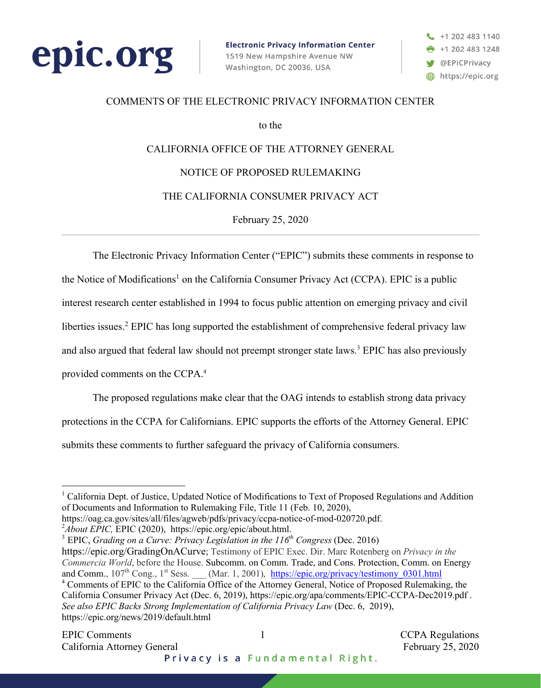



#### COMMENTS OF THE ELECTRONIC PRIVACY INFORMATION CENTER

to the

# CALIFORNIA OFFICE OF THE ATTORNEY GENERAL

## NOTICE OF PROPOSED RULEMAKING

### THE CALIFORNIA CONSUMER PRIVACY ACT

February 25, 2020

The Electronic Privacy Information Center ("EPIC") submits these comments in response to

the Notice of Modifications<sup>1</sup> on the California Consumer Privacy Act (CCPA). EPIC is a public

interest research center established in 1994 to focus public attention on emerging privacy and civil

liberties issues.<sup>2</sup> EPIC has long supported the establishment of comprehensive federal privacy law

and also argued that federal law should not preempt stronger state laws.<sup>3</sup> EPIC has also previously

provided comments on the CCPA.4

The proposed regulations make clear that the OAG intends to establish strong data privacy protections in the CCPA for Californians. EPIC supports the efforts of the Attorney General. EPIC submits these comments to further safeguard the privacy of California consumers.

2 *About EPIC,* EPIC (2020), https://epic.org/epic/about.html.

<sup>3</sup> EPIC, *Grading on a Curve: Privacy Legislation in the 116th Congress* (Dec. 2016)

https://epic.org/GradingOnACurve; Testimony of EPIC Exec. Dir. Marc Rotenberg on *Privacy in the Commercia World*, before the House. Subcomm. on Comm. Trade, and Cons. Protection, Comm. on Energy and Comm., 107<sup>th</sup> Cong., 1<sup>st</sup> Sess. (Mar. 1, 2001), *https://epic.org/privacy/testimony* 0301.html <sup>4</sup> Comments of EPIC to the California Office of the Attorney General, Notice of Proposed Rulemaking, the California Consumer Privacy Act (Dec. 6, 2019), https://epic.org/apa/comments/EPIC-CCPA-Dec2019.pdf . *See also EPIC Backs Strong Implementation of California Privacy Law* (Dec. 6, 2019), https://epic.org/news/2019/default.html

<sup>&</sup>lt;sup>1</sup> California Dept. of Justice, Updated Notice of Modifications to Text of Proposed Regulations and Addition of Documents and Information to Rulemaking File, Title 11 (Feb. 10, 2020),

https://oag.ca.gov/sites/all/files/agweb/pdfs/privacy/ccpa-notice-of-mod-020720.pdf.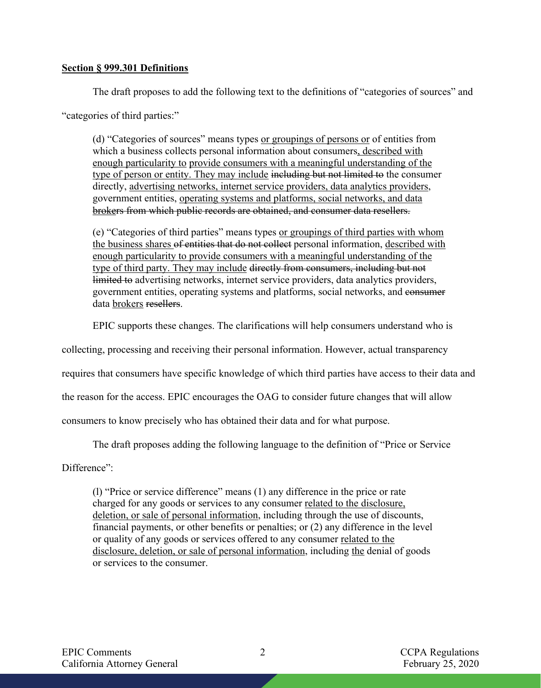#### **Section § 999.301 Definitions**

The draft proposes to add the following text to the definitions of "categories of sources" and "categories of third parties:"

(d) "Categories of sources" means types or groupings of persons or of entities from which a business collects personal information about consumers, described with enough particularity to provide consumers with a meaningful understanding of the type of person or entity. They may include including but not limited to the consumer directly, advertising networks, internet service providers, data analytics providers, government entities, operating systems and platforms, social networks, and data brokers from which public records are obtained, and consumer data resellers.

(e) "Categories of third parties" means types or groupings of third parties with whom the business shares of entities that do not collect personal information, described with enough particularity to provide consumers with a meaningful understanding of the type of third party. They may include directly from consumers, including but not limited to advertising networks, internet service providers, data analytics providers, government entities, operating systems and platforms, social networks, and consumer data brokers resellers.

EPIC supports these changes. The clarifications will help consumers understand who is

collecting, processing and receiving their personal information. However, actual transparency

requires that consumers have specific knowledge of which third parties have access to their data and

the reason for the access. EPIC encourages the OAG to consider future changes that will allow

consumers to know precisely who has obtained their data and for what purpose.

The draft proposes adding the following language to the definition of "Price or Service

Difference":

(l) "Price or service difference" means (1) any difference in the price or rate charged for any goods or services to any consumer related to the disclosure, deletion, or sale of personal information, including through the use of discounts, financial payments, or other benefits or penalties; or (2) any difference in the level or quality of any goods or services offered to any consumer related to the disclosure, deletion, or sale of personal information, including the denial of goods or services to the consumer.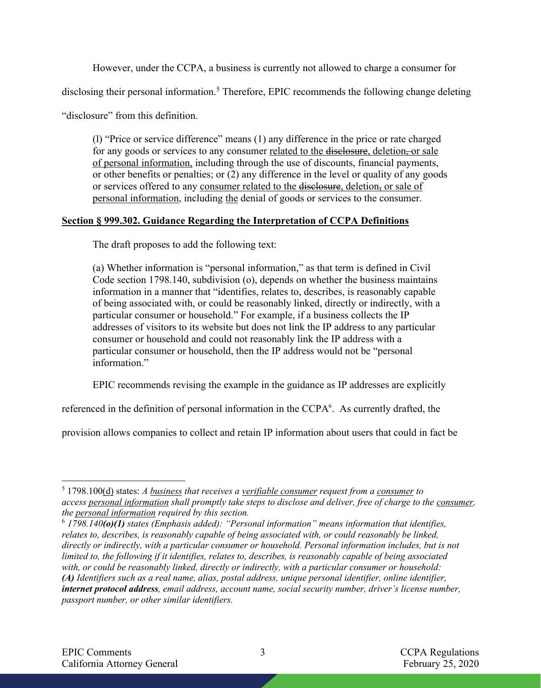However, under the CCPA, a business is currently not allowed to charge a consumer for

disclosing their personal information.<sup>5</sup> Therefore, EPIC recommends the following change deleting

"disclosure" from this definition.

(l) "Price or service difference" means (1) any difference in the price or rate charged for any goods or services to any consumer related to the disclosure, deletion, or sale of personal information, including through the use of discounts, financial payments, or other benefits or penalties; or  $(2)$  any difference in the level or quality of any goods or services offered to any consumer related to the disclosure, deletion, or sale of personal information, including the denial of goods or services to the consumer.

## **Section § 999.302. Guidance Regarding the Interpretation of CCPA Definitions**

The draft proposes to add the following text:

(a) Whether information is "personal information," as that term is defined in Civil Code section 1798.140, subdivision (o), depends on whether the business maintains information in a manner that "identifies, relates to, describes, is reasonably capable of being associated with, or could be reasonably linked, directly or indirectly, with a particular consumer or household." For example, if a business collects the IP addresses of visitors to its website but does not link the IP address to any particular consumer or household and could not reasonably link the IP address with a particular consumer or household, then the IP address would not be "personal information."

EPIC recommends revising the example in the guidance as IP addresses are explicitly

referenced in the definition of personal information in the CCPA<sup>6</sup>. As currently drafted, the

provision allows companies to collect and retain IP information about users that could in fact be

<sup>5</sup> 1798.100(d) states: *A business that receives a verifiable consumer request from a consumer to access personal information shall promptly take steps to disclose and deliver, free of charge to the consumer, the personal information required by this section.*

<sup>6</sup> *1798.140(o)(1) states (Emphasis added): "Personal information" means information that identifies, relates to, describes, is reasonably capable of being associated with, or could reasonably be linked, directly or indirectly, with a particular consumer or household. Personal information includes, but is not limited to, the following if it identifies, relates to, describes, is reasonably capable of being associated with, or could be reasonably linked, directly or indirectly, with a particular consumer or household: (A) Identifiers such as a real name, alias, postal address, unique personal identifier, online identifier, internet protocol address, email address, account name, social security number, driver's license number, passport number, or other similar identifiers.*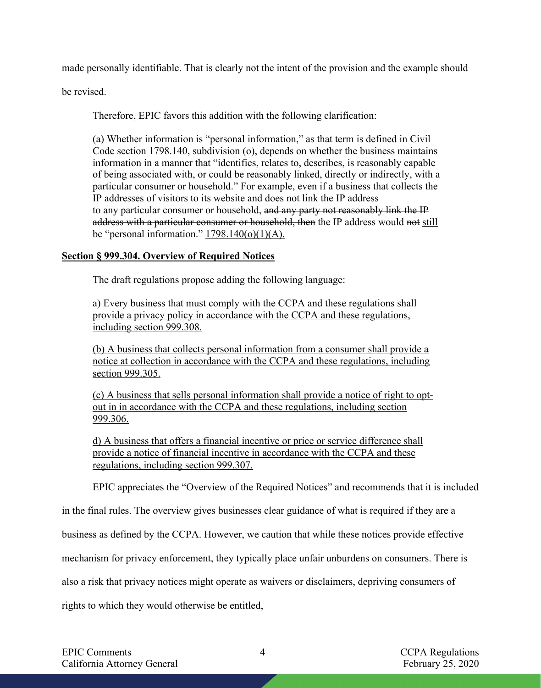made personally identifiable. That is clearly not the intent of the provision and the example should

be revised.

Therefore, EPIC favors this addition with the following clarification:

(a) Whether information is "personal information," as that term is defined in Civil Code section 1798.140, subdivision (o), depends on whether the business maintains information in a manner that "identifies, relates to, describes, is reasonably capable of being associated with, or could be reasonably linked, directly or indirectly, with a particular consumer or household." For example, even if a business that collects the IP addresses of visitors to its website and does not link the IP address to any particular consumer or household, and any party not reasonably link the IP address with a particular consumer or household, then the IP address would not still be "personal information."  $1798.140(0)(1)(A)$ .

## **Section § 999.304. Overview of Required Notices**

The draft regulations propose adding the following language:

a) Every business that must comply with the CCPA and these regulations shall provide a privacy policy in accordance with the CCPA and these regulations, including section 999.308.

(b) A business that collects personal information from a consumer shall provide a notice at collection in accordance with the CCPA and these regulations, including section 999.305.

(c) A business that sells personal information shall provide a notice of right to optout in in accordance with the CCPA and these regulations, including section 999.306.

d) A business that offers a financial incentive or price or service difference shall provide a notice of financial incentive in accordance with the CCPA and these regulations, including section 999.307.

EPIC appreciates the "Overview of the Required Notices" and recommends that it is included

in the final rules. The overview gives businesses clear guidance of what is required if they are a

business as defined by the CCPA. However, we caution that while these notices provide effective

mechanism for privacy enforcement, they typically place unfair unburdens on consumers. There is

also a risk that privacy notices might operate as waivers or disclaimers, depriving consumers of

rights to which they would otherwise be entitled,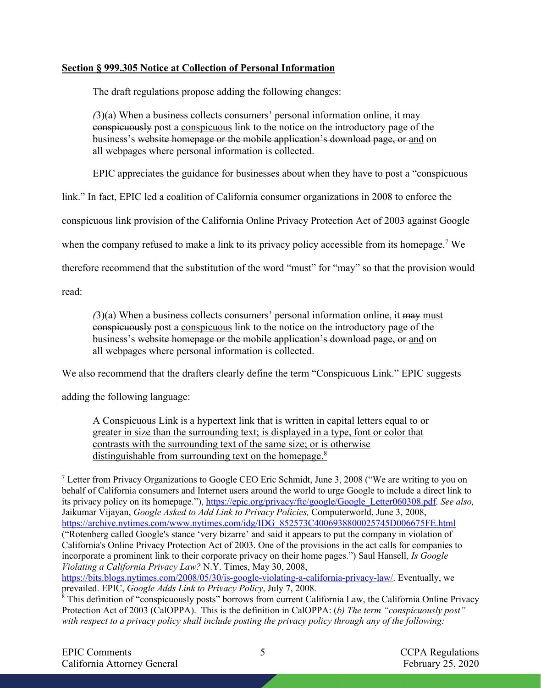## **Section § 999.305 Notice at Collection of Personal Information**

The draft regulations propose adding the following changes:

*(*3)(a) When a business collects consumers' personal information online, it may conspicuously post a conspicuous link to the notice on the introductory page of the business's website homepage or the mobile application's download page, or and on all webpages where personal information is collected.

EPIC appreciates the guidance for businesses about when they have to post a "conspicuous

link." In fact, EPIC led a coalition of California consumer organizations in 2008 to enforce the

conspicuous link provision of the California Online Privacy Protection Act of 2003 against Google

when the company refused to make a link to its privacy policy accessible from its homepage.<sup>7</sup> We

therefore recommend that the substitution of the word "must" for "may" so that the provision would

read:

*(*3)(a) When a business collects consumers' personal information online, it may must conspicuously post a conspicuous link to the notice on the introductory page of the business's website homepage or the mobile application's download page, or and on all webpages where personal information is collected.

We also recommend that the drafters clearly define the term "Conspicuous Link." EPIC suggests

adding the following language:

A Conspicuous Link is a hypertext link that is written in capital letters equal to or greater in size than the surrounding text; is displayed in a type, font or color that contrasts with the surrounding text of the same size; or is otherwise distinguishable from surrounding text on the homepage.<sup>8</sup>

https://bits.blogs.nytimes.com/2008/05/30/is-google-violating-a-california-privacy-law/. Eventually, we prevailed. EPIC, *Google Adds Link to Privacy Policy*, July 7, 2008.

<sup>&</sup>lt;sup>7</sup> Letter from Privacy Organizations to Google CEO Eric Schmidt, June 3, 2008 ("We are writing to you on behalf of California consumers and Internet users around the world to urge Google to include a direct link to its privacy policy on its homepage."), https://epic.org/privacy/ftc/google/Google\_Letter060308.pdf. *See also,* Jaikumar Vijayan, *Google Asked to Add Link to Privacy Policies,* Computerworld, June 3, 2008, https://archive.nytimes.com/www.nytimes.com/idg/IDG\_852573C4006938800025745D006675FE.html ("Rotenberg called Google's stance 'very bizarre' and said it appears to put the company in violation of California's Online Privacy Protection Act of 2003. One of the provisions in the act calls for companies to incorporate a prominent link to their corporate privacy on their home pages.") Saul Hansell, *Is Google Violating a California Privacy Law?* N.Y. Times, May 30, 2008,

 $\frac{8}{8}$  This definition of "conspicuously posts" borrows from current California Law, the California Online Privacy Protection Act of 2003 (CalOPPA). This is the definition in CalOPPA: (*b) The term "conspicuously post" with respect to a privacy policy shall include posting the privacy policy through any of the following:*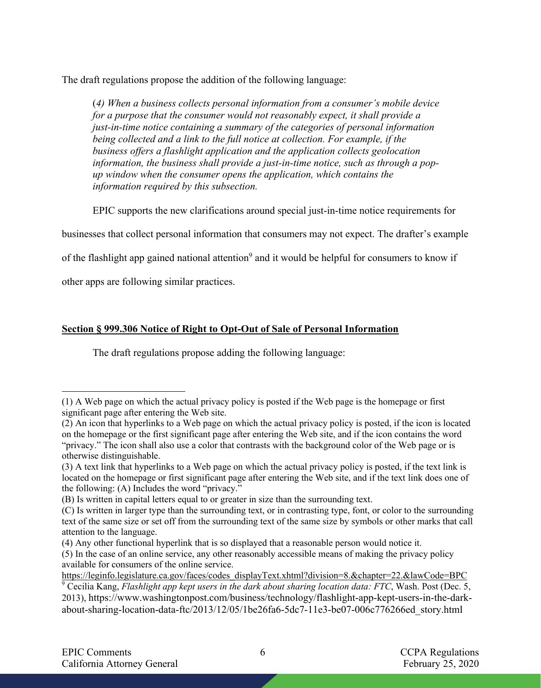The draft regulations propose the addition of the following language:

(*4) When a business collects personal information from a consumer's mobile device for a purpose that the consumer would not reasonably expect, it shall provide a just-in-time notice containing a summary of the categories of personal information being collected and a link to the full notice at collection. For example, if the business offers a flashlight application and the application collects geolocation information, the business shall provide a just-in-time notice, such as through a popup window when the consumer opens the application, which contains the information required by this subsection.*

EPIC supports the new clarifications around special just-in-time notice requirements for

businesses that collect personal information that consumers may not expect. The drafter's example

of the flashlight app gained national attention<sup>9</sup> and it would be helpful for consumers to know if

other apps are following similar practices.

# **Section § 999.306 Notice of Right to Opt-Out of Sale of Personal Information**

The draft regulations propose adding the following language:

<sup>(1)</sup> A Web page on which the actual privacy policy is posted if the Web page is the homepage or first significant page after entering the Web site.

<sup>(2)</sup> An icon that hyperlinks to a Web page on which the actual privacy policy is posted, if the icon is located on the homepage or the first significant page after entering the Web site, and if the icon contains the word "privacy." The icon shall also use a color that contrasts with the background color of the Web page or is otherwise distinguishable.

<sup>(3)</sup> A text link that hyperlinks to a Web page on which the actual privacy policy is posted, if the text link is located on the homepage or first significant page after entering the Web site, and if the text link does one of the following: (A) Includes the word "privacy."

<sup>(</sup>B) Is written in capital letters equal to or greater in size than the surrounding text.

<sup>(</sup>C) Is written in larger type than the surrounding text, or in contrasting type, font, or color to the surrounding text of the same size or set off from the surrounding text of the same size by symbols or other marks that call attention to the language.

<sup>(4)</sup> Any other functional hyperlink that is so displayed that a reasonable person would notice it.

<sup>(5)</sup> In the case of an online service, any other reasonably accessible means of making the privacy policy available for consumers of the online service.

https://leginfo.legislature.ca.gov/faces/codes\_displayText.xhtml?division=8.&chapter=22.&lawCode=BPC

<sup>9</sup> Cecilia Kang, *Flashlight app kept users in the dark about sharing location data: FTC*, Wash. Post (Dec. 5, 2013), https://www.washingtonpost.com/business/technology/flashlight-app-kept-users-in-the-darkabout-sharing-location-data-ftc/2013/12/05/1be26fa6-5dc7-11e3-be07-006c776266ed\_story.html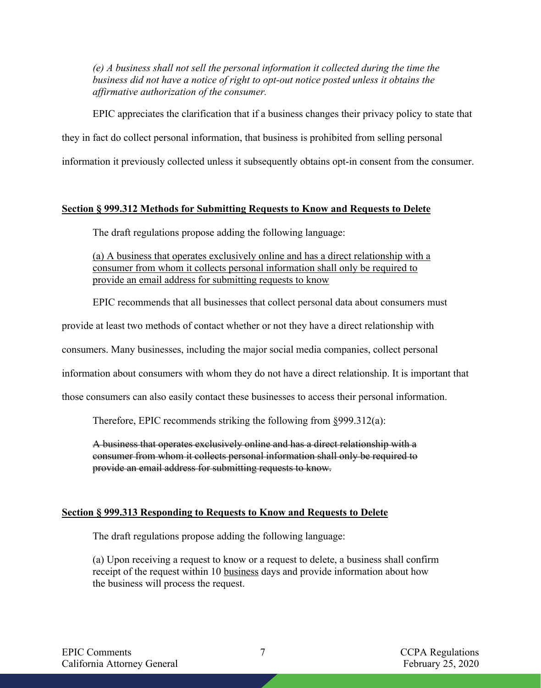*(e) A business shall not sell the personal information it collected during the time the business did not have a notice of right to opt-out notice posted unless it obtains the affirmative authorization of the consumer.* 

EPIC appreciates the clarification that if a business changes their privacy policy to state that they in fact do collect personal information, that business is prohibited from selling personal information it previously collected unless it subsequently obtains opt-in consent from the consumer.

## **Section § 999.312 Methods for Submitting Requests to Know and Requests to Delete**

The draft regulations propose adding the following language:

(a) A business that operates exclusively online and has a direct relationship with a consumer from whom it collects personal information shall only be required to provide an email address for submitting requests to know

EPIC recommends that all businesses that collect personal data about consumers must

provide at least two methods of contact whether or not they have a direct relationship with

consumers. Many businesses, including the major social media companies, collect personal

information about consumers with whom they do not have a direct relationship. It is important that

those consumers can also easily contact these businesses to access their personal information.

Therefore, EPIC recommends striking the following from §999.312(a):

A business that operates exclusively online and has a direct relationship with a consumer from whom it collects personal information shall only be required to provide an email address for submitting requests to know.

# **Section § 999.313 Responding to Requests to Know and Requests to Delete**

The draft regulations propose adding the following language:

(a) Upon receiving a request to know or a request to delete, a business shall confirm receipt of the request within 10 business days and provide information about how the business will process the request.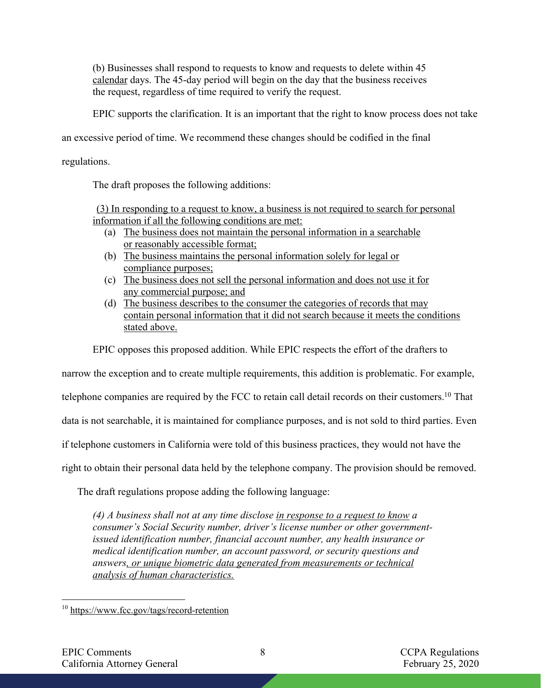(b) Businesses shall respond to requests to know and requests to delete within 45 calendar days. The 45-day period will begin on the day that the business receives the request, regardless of time required to verify the request.

EPIC supports the clarification. It is an important that the right to know process does not take

an excessive period of time. We recommend these changes should be codified in the final

regulations.

The draft proposes the following additions:

(3) In responding to a request to know, a business is not required to search for personal information if all the following conditions are met:

- (a) The business does not maintain the personal information in a searchable or reasonably accessible format;
- (b) The business maintains the personal information solely for legal or compliance purposes;
- (c) The business does not sell the personal information and does not use it for any commercial purpose; and
- (d) The business describes to the consumer the categories of records that may contain personal information that it did not search because it meets the conditions stated above.

EPIC opposes this proposed addition. While EPIC respects the effort of the drafters to

narrow the exception and to create multiple requirements, this addition is problematic. For example,

telephone companies are required by the FCC to retain call detail records on their customers.<sup>10</sup> That

data is not searchable, it is maintained for compliance purposes, and is not sold to third parties. Even

if telephone customers in California were told of this business practices, they would not have the

right to obtain their personal data held by the telephone company. The provision should be removed.

The draft regulations propose adding the following language:

*(4) A business shall not at any time disclose in response to a request to know a consumer's Social Security number, driver's license number or other governmentissued identification number, financial account number, any health insurance or medical identification number, an account password, or security questions and answers, or unique biometric data generated from measurements or technical analysis of human characteristics.*

<sup>10</sup> https://www.fcc.gov/tags/record-retention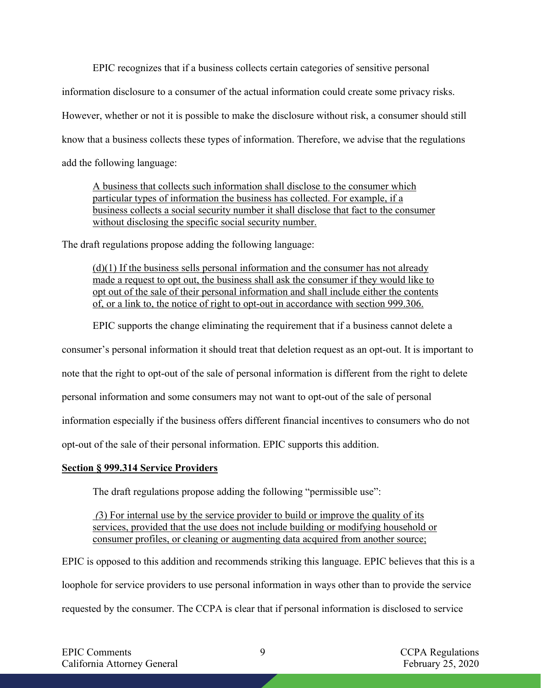EPIC recognizes that if a business collects certain categories of sensitive personal information disclosure to a consumer of the actual information could create some privacy risks.

However, whether or not it is possible to make the disclosure without risk, a consumer should still

know that a business collects these types of information. Therefore, we advise that the regulations

add the following language:

A business that collects such information shall disclose to the consumer which particular types of information the business has collected. For example, if a business collects a social security number it shall disclose that fact to the consumer without disclosing the specific social security number.

The draft regulations propose adding the following language:

 $(d)(1)$  If the business sells personal information and the consumer has not already made a request to opt out, the business shall ask the consumer if they would like to opt out of the sale of their personal information and shall include either the contents of, or a link to, the notice of right to opt-out in accordance with section 999.306.

EPIC supports the change eliminating the requirement that if a business cannot delete a

consumer's personal information it should treat that deletion request as an opt-out. It is important to

note that the right to opt-out of the sale of personal information is different from the right to delete

personal information and some consumers may not want to opt-out of the sale of personal

information especially if the business offers different financial incentives to consumers who do not

opt-out of the sale of their personal information. EPIC supports this addition.

## **Section § 999.314 Service Providers**

The draft regulations propose adding the following "permissible use":

*(*3) For internal use by the service provider to build or improve the quality of its services, provided that the use does not include building or modifying household or consumer profiles, or cleaning or augmenting data acquired from another source;

EPIC is opposed to this addition and recommends striking this language. EPIC believes that this is a

loophole for service providers to use personal information in ways other than to provide the service

requested by the consumer. The CCPA is clear that if personal information is disclosed to service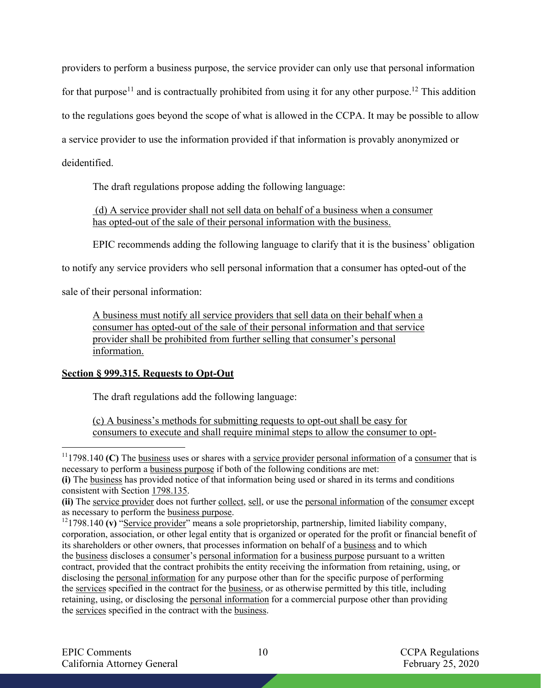providers to perform a business purpose, the service provider can only use that personal information for that purpose<sup>11</sup> and is contractually prohibited from using it for any other purpose.<sup>12</sup> This addition to the regulations goes beyond the scope of what is allowed in the CCPA. It may be possible to allow a service provider to use the information provided if that information is provably anonymized or deidentified.

The draft regulations propose adding the following language:

(d) A service provider shall not sell data on behalf of a business when a consumer has opted-out of the sale of their personal information with the business.

EPIC recommends adding the following language to clarify that it is the business' obligation

to notify any service providers who sell personal information that a consumer has opted-out of the

sale of their personal information:

A business must notify all service providers that sell data on their behalf when a consumer has opted-out of the sale of their personal information and that service provider shall be prohibited from further selling that consumer's personal information.

# **Section § 999.315. Requests to Opt-Out**

The draft regulations add the following language:

(c) A business's methods for submitting requests to opt-out shall be easy for consumers to execute and shall require minimal steps to allow the consumer to opt-

<sup>&</sup>lt;sup>11</sup>1798.140 **(C)** The business uses or shares with a service provider personal information of a consumer that is necessary to perform a business purpose if both of the following conditions are met:

**<sup>(</sup>i)** The business has provided notice of that information being used or shared in its terms and conditions consistent with Section 1798.135.

**<sup>(</sup>ii)** The service provider does not further collect, sell, or use the personal information of the consumer except as necessary to perform the business purpose.

<sup>&</sup>lt;sup>12</sup>1798.140 **(v)** "Service provider" means a sole proprietorship, partnership, limited liability company, corporation, association, or other legal entity that is organized or operated for the profit or financial benefit of its shareholders or other owners, that processes information on behalf of a business and to which the business discloses a consumer's personal information for a business purpose pursuant to a written contract, provided that the contract prohibits the entity receiving the information from retaining, using, or disclosing the personal information for any purpose other than for the specific purpose of performing the services specified in the contract for the business, or as otherwise permitted by this title, including retaining, using, or disclosing the personal information for a commercial purpose other than providing the services specified in the contract with the business.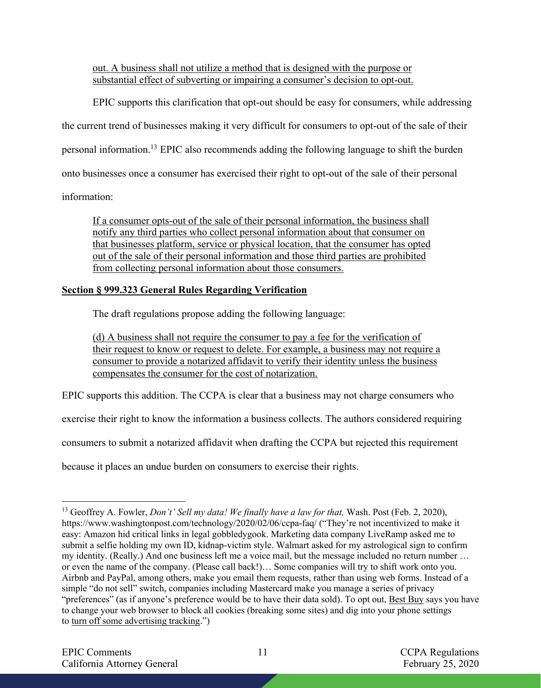out. A business shall not utilize a method that is designed with the purpose or substantial effect of subverting or impairing a consumer's decision to opt-out.

EPIC supports this clarification that opt-out should be easy for consumers, while addressing

the current trend of businesses making it very difficult for consumers to opt-out of the sale of their

personal information.13 EPIC also recommends adding the following language to shift the burden

onto businesses once a consumer has exercised their right to opt-out of the sale of their personal

information:

If a consumer opts-out of the sale of their personal information, the business shall notify any third parties who collect personal information about that consumer on that businesses platform, service or physical location, that the consumer has opted out of the sale of their personal information and those third parties are prohibited from collecting personal information about those consumers.

# **Section § 999.323 General Rules Regarding Verification**

The draft regulations propose adding the following language:

(d) A business shall not require the consumer to pay a fee for the verification of their request to know or request to delete. For example, a business may not require a consumer to provide a notarized affidavit to verify their identity unless the business compensates the consumer for the cost of notarization.

EPIC supports this addition. The CCPA is clear that a business may not charge consumers who

exercise their right to know the information a business collects. The authors considered requiring

consumers to submit a notarized affidavit when drafting the CCPA but rejected this requirement

because it places an undue burden on consumers to exercise their rights.

<sup>13</sup> Geoffrey A. Fowler, *Don't' Sell my data! We finally have a law for that,* Wash. Post (Feb. 2, 2020), https://www.washingtonpost.com/technology/2020/02/06/ccpa-faq/ ("They're not incentivized to make it easy: Amazon hid critical links in legal gobbledygook. Marketing data company LiveRamp asked me to submit a selfie holding my own ID, kidnap-victim style. Walmart asked for my astrological sign to confirm my identity. (Really.) And one business left me a voice mail, but the message included no return number … or even the name of the company. (Please call back!)… Some companies will try to shift work onto you. Airbnb and PayPal, among others, make you email them requests, rather than using web forms. Instead of a simple "do not sell" switch, companies including Mastercard make you manage a series of privacy "preferences" (as if anyone's preference would be to have their data sold). To opt out, Best Buy says you have to change your web browser to block all cookies (breaking some sites) and dig into your phone settings to turn off some advertising tracking.")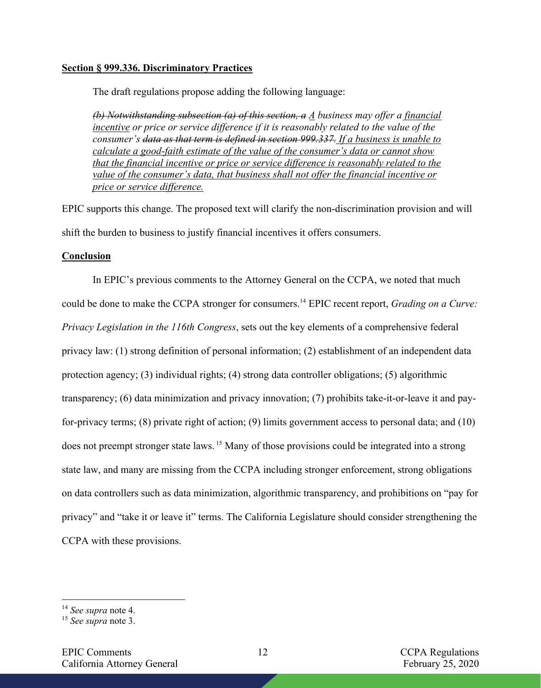#### **Section § 999.336. Discriminatory Practices**

The draft regulations propose adding the following language:

*(b) Notwithstanding subsection (a) of this section, a A business may offer a financial incentive or price or service difference if it is reasonably related to the value of the consumer's data as that term is defined in section 999.337. If a business is unable to calculate a good-faith estimate of the value of the consumer's data or cannot show that the financial incentive or price or service difference is reasonably related to the value of the consumer's data, that business shall not offer the financial incentive or price or service difference.* 

EPIC supports this change. The proposed text will clarify the non-discrimination provision and will shift the burden to business to justify financial incentives it offers consumers.

### **Conclusion**

In EPIC's previous comments to the Attorney General on the CCPA, we noted that much could be done to make the CCPA stronger for consumers.14 EPIC recent report, *Grading on a Curve: Privacy Legislation in the 116th Congress*, sets out the key elements of a comprehensive federal privacy law: (1) strong definition of personal information; (2) establishment of an independent data protection agency; (3) individual rights; (4) strong data controller obligations; (5) algorithmic transparency; (6) data minimization and privacy innovation; (7) prohibits take-it-or-leave it and payfor-privacy terms; (8) private right of action; (9) limits government access to personal data; and (10) does not preempt stronger state laws. <sup>15</sup> Many of those provisions could be integrated into a strong state law, and many are missing from the CCPA including stronger enforcement, strong obligations on data controllers such as data minimization, algorithmic transparency, and prohibitions on "pay for privacy" and "take it or leave it" terms. The California Legislature should consider strengthening the CCPA with these provisions.

<sup>14</sup> *See supra* note 4.

<sup>15</sup> *See supra* note 3.